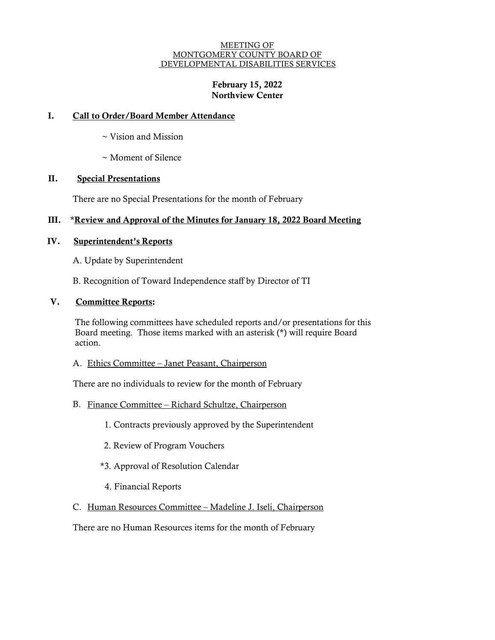#### MEETING OF MONTGOMERY COUNTY BOARD OF DEVELOPMENTAL DISABILITIES SERVICES

# February 15, 2022 Northview Center

# I. Call to Order/Board Member Attendance

- ~ Vision and Mission
- ~ Moment of Silence

# II. Special Presentations

There are no Special Presentations for the month of February

### III. \*Review and Approval of the Minutes for January 18, 2022 Board Meeting

### IV. Superintendent's Reports

A. Update by Superintendent

B. Recognition of Toward Independence staff by Director of TI

### V. Committee Reports:

The following committees have scheduled reports and/or presentations for this Board meeting. Those items marked with an asterisk (\*) will require Board action.

A. Ethics Committee – Janet Peasant, Chairperson

There are no individuals to review for the month of February

- B. Finance Committee Richard Schultze, Chairperson
	- 1. Contracts previously approved by the Superintendent
	- 2. Review of Program Vouchers
	- \*3. Approval of Resolution Calendar
	- 4. Financial Reports
- C. Human Resources Committee Madeline J. Iseli, Chairperson

There are no Human Resources items for the month of February